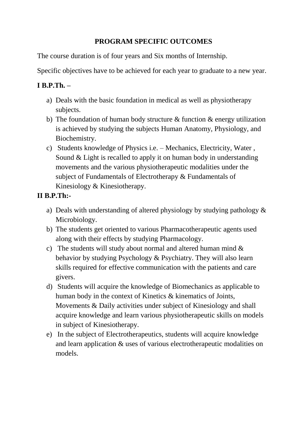### **PROGRAM SPECIFIC OUTCOMES**

The course duration is of four years and Six months of Internship.

Specific objectives have to be achieved for each year to graduate to a new year.

### **I B.P.Th. –**

- a) Deals with the basic foundation in medical as well as physiotherapy subjects.
- b) The foundation of human body structure  $&$  function  $&$  energy utilization is achieved by studying the subjects Human Anatomy, Physiology, and Biochemistry.
- c) Students knowledge of Physics i.e. Mechanics, Electricity, Water , Sound & Light is recalled to apply it on human body in understanding movements and the various physiotherapeutic modalities under the subject of Fundamentals of Electrotherapy & Fundamentals of Kinesiology & Kinesiotherapy.

# **II B.P.Th:-**

- a) Deals with understanding of altered physiology by studying pathology & Microbiology.
- b) The students get oriented to various Pharmacotherapeutic agents used along with their effects by studying Pharmacology.
- c) The students will study about normal and altered human mind & behavior by studying Psychology & Psychiatry. They will also learn skills required for effective communication with the patients and care givers.
- d) Students will acquire the knowledge of Biomechanics as applicable to human body in the context of Kinetics & kinematics of Joints, Movements & Daily activities under subject of Kinesiology and shall acquire knowledge and learn various physiotherapeutic skills on models in subject of Kinesiotherapy.
- e) In the subject of Electrotherapeutics, students will acquire knowledge and learn application & uses of various electrotherapeutic modalities on models.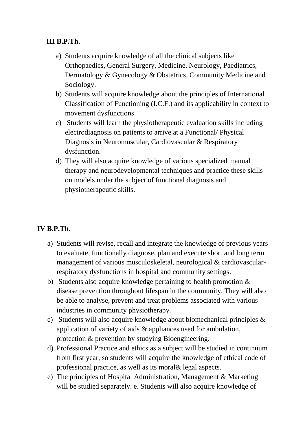#### **III B.P.Th.**

- a) Students acquire knowledge of all the clinical subjects like Orthopaedics, General Surgery, Medicine, Neurology, Paediatrics, Dermatology & Gynecology & Obstetrics, Community Medicine and Sociology.
- b) Students will acquire knowledge about the principles of International Classification of Functioning (I.C.F.) and its applicability in context to movement dysfunctions.
- c) Students will learn the physiotherapeutic evaluation skills including electrodiagnosis on patients to arrive at a Functional/ Physical Diagnosis in Neuromuscular, Cardiovascular & Respiratory dysfunction.
- d) They will also acquire knowledge of various specialized manual therapy and neurodevelopmental techniques and practice these skills on models under the subject of functional diagnosis and physiotherapeutic skills.

#### **IV B.P.Th.**

- a) Students will revise, recall and integrate the knowledge of previous years to evaluate, functionally diagnose, plan and execute short and long term management of various musculoskeletal, neurological & cardiovascularrespiratory dysfunctions in hospital and community settings.
- b) Students also acquire knowledge pertaining to health promotion & disease prevention throughout lifespan in the community. They will also be able to analyse, prevent and treat problems associated with various industries in community physiotherapy.
- c) Students will also acquire knowledge about biomechanical principles & application of variety of aids & appliances used for ambulation, protection & prevention by studying Bioengineering.
- d) Professional Practice and ethics as a subject will be studied in continuum from first year, so students will acquire the knowledge of ethical code of professional practice, as well as its moral& legal aspects.
- e) The principles of Hospital Administration, Management & Marketing will be studied separately. e. Students will also acquire knowledge of